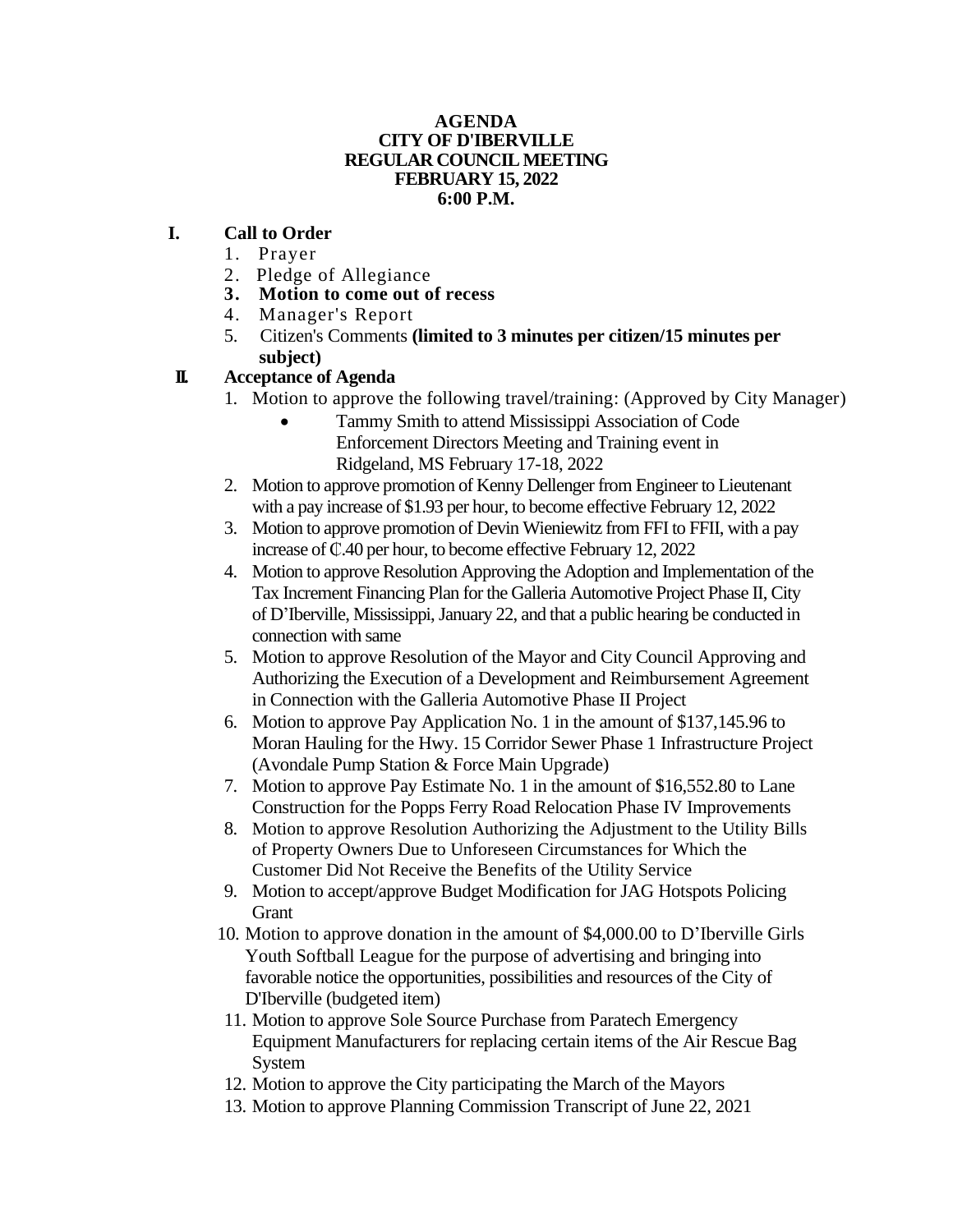#### **AGENDA CITY OF D'IBERVILLE REGULAR COUNCIL MEETING FEBRUARY 15, 2022 6:00 P.M.**

#### **I. Call to Order**

- 1. Prayer
- 2. Pledge of Allegiance
- **3. Motion to come out of recess**
- 4. Manager's Report
- 5. Citizen's Comments **(limited to 3 minutes per citizen/15 minutes per subject)**

# **II. Acceptance of Agenda**

- 1. Motion to approve the following travel/training: (Approved by City Manager)
	- Tammy Smith to attend Mississippi Association of Code Enforcement Directors Meeting and Training event in Ridgeland, MS February 17-18, 2022
- 2. Motion to approve promotion of Kenny Dellenger from Engineer to Lieutenant with a pay increase of \$1.93 per hour, to become effective February 12, 2022
- 3. Motion to approve promotion of Devin Wieniewitz from FFI to FFII, with a pay increase of ₵.40 per hour, to become effective February 12, 2022
- 4. Motion to approve Resolution Approving the Adoption and Implementation of the Tax Increment Financing Plan for the Galleria Automotive Project Phase II, City of D'Iberville, Mississippi, January 22, and that a public hearing be conducted in connection with same
- 5. Motion to approve Resolution of the Mayor and City Council Approving and Authorizing the Execution of a Development and Reimbursement Agreement in Connection with the Galleria Automotive Phase II Project
- 6. Motion to approve Pay Application No. 1 in the amount of \$137,145.96 to Moran Hauling for the Hwy. 15 Corridor Sewer Phase 1 Infrastructure Project (Avondale Pump Station & Force Main Upgrade)
- 7. Motion to approve Pay Estimate No. 1 in the amount of \$16,552.80 to Lane Construction for the Popps Ferry Road Relocation Phase IV Improvements
- 8. Motion to approve Resolution Authorizing the Adjustment to the Utility Bills of Property Owners Due to Unforeseen Circumstances for Which the Customer Did Not Receive the Benefits of the Utility Service
- 9. Motion to accept/approve Budget Modification for JAG Hotspots Policing Grant
- 10. Motion to approve donation in the amount of \$4,000.00 to D'Iberville Girls Youth Softball League for the purpose of advertising and bringing into favorable notice the opportunities, possibilities and resources of the City of D'Iberville (budgeted item)
- 11. Motion to approve Sole Source Purchase from Paratech Emergency Equipment Manufacturers for replacing certain items of the Air Rescue Bag **System**
- 12. Motion to approve the City participating the March of the Mayors
- 13. Motion to approve Planning Commission Transcript of June 22, 2021